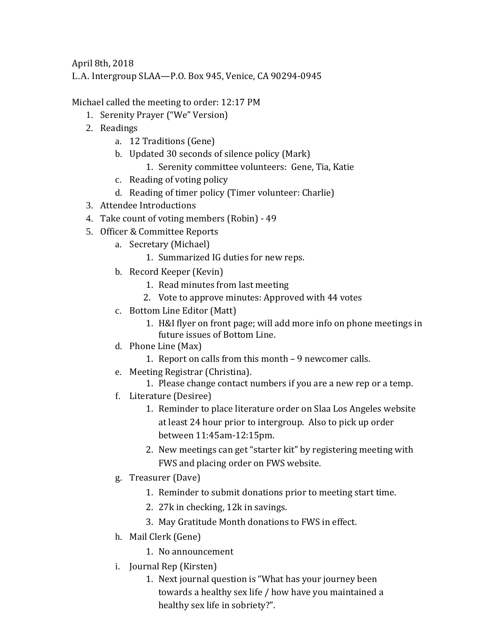April 8th, 2018 L.A. Intergroup SLAA—P.O. Box 945, Venice, CA 90294-0945

Michael called the meeting to order: 12:17 PM

- 1. Serenity Prayer ("We" Version)
- 2. Readings
	- a. 12 Traditions (Gene)
	- b. Updated 30 seconds of silence policy (Mark)
		- 1. Serenity committee volunteers: Gene, Tia, Katie
	- c. Reading of voting policy
	- d. Reading of timer policy (Timer volunteer: Charlie)
- 3. Attendee Introductions
- 4. Take count of voting members (Robin) 49
- 5. Officer & Committee Reports
	- a. Secretary (Michael)
		- 1. Summarized IG duties for new reps.
	- b. Record Keeper (Kevin)
		- 1. Read minutes from last meeting
		- 2. Vote to approve minutes: Approved with 44 votes
	- c. Bottom Line Editor (Matt)
		- 1. H&I flyer on front page; will add more info on phone meetings in future issues of Bottom Line.
	- d. Phone Line (Max)
		- 1. Report on calls from this month 9 newcomer calls.
	- e. Meeting Registrar (Christina).
		- 1. Please change contact numbers if you are a new rep or a temp.
	- f. Literature (Desiree)
		- 1. Reminder to place literature order on Slaa Los Angeles website at least 24 hour prior to intergroup. Also to pick up order between 11:45am-12:15pm.
		- 2. New meetings can get "starter kit" by registering meeting with FWS and placing order on FWS website.
	- g. Treasurer (Dave)
		- 1. Reminder to submit donations prior to meeting start time.
		- 2. 27k in checking, 12k in savings.
		- 3. May Gratitude Month donations to FWS in effect.
	- h. Mail Clerk (Gene)
		- 1. No announcement
	- i. Journal Rep (Kirsten)
		- 1. Next journal question is "What has your journey been towards a healthy sex life / how have you maintained a healthy sex life in sobriety?".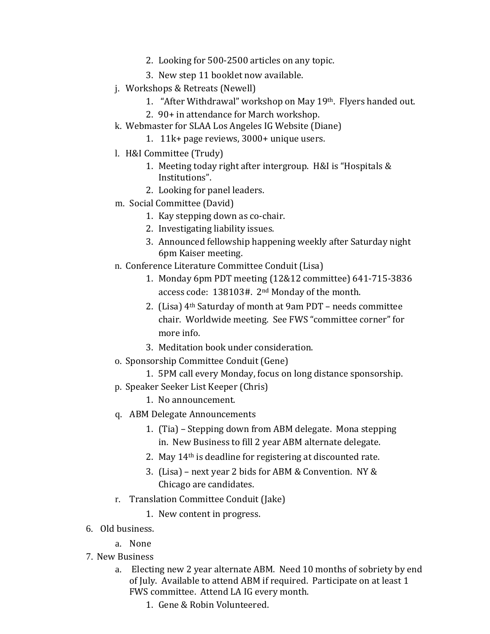- 2. Looking for 500-2500 articles on any topic.
- 3. New step 11 booklet now available.
- j. Workshops & Retreats (Newell)
	- 1. "After Withdrawal" workshop on May 19th. Flyers handed out.
	- 2. 90+ in attendance for March workshop.
- k. Webmaster for SLAA Los Angeles IG Website (Diane)
	- 1. 11k+ page reviews, 3000+ unique users.
- l. H&I Committee (Trudy)
	- 1. Meeting today right after intergroup. H&I is "Hospitals & Institutions".
	- 2. Looking for panel leaders.
- m. Social Committee (David)
	- 1. Kay stepping down as co-chair.
	- 2. Investigating liability issues.
	- 3. Announced fellowship happening weekly after Saturday night 6pm Kaiser meeting.
- n. Conference Literature Committee Conduit (Lisa)
	- 1. Monday 6pm PDT meeting (12&12 committee) 641-715-3836 access code: 138103#. 2nd Monday of the month.
	- 2. (Lisa) 4th Saturday of month at 9am PDT needs committee chair. Worldwide meeting. See FWS "committee corner" for more info.
	- 3. Meditation book under consideration.
- o. Sponsorship Committee Conduit (Gene)
	- 1. 5PM call every Monday, focus on long distance sponsorship.
- p. Speaker Seeker List Keeper (Chris)
	- 1. No announcement.
- q. ABM Delegate Announcements
	- 1. (Tia) Stepping down from ABM delegate. Mona stepping in. New Business to fill 2 year ABM alternate delegate.
	- 2. May 14th is deadline for registering at discounted rate.
	- 3. (Lisa) next year 2 bids for ABM & Convention. NY & Chicago are candidates.
- r. Translation Committee Conduit (Jake)
	- 1. New content in progress.
- 6. Old business.
	- a. None
- 7. New Business
	- a. Electing new 2 year alternate ABM. Need 10 months of sobriety by end of July. Available to attend ABM if required. Participate on at least 1 FWS committee. Attend LA IG every month.
		- 1. Gene & Robin Volunteered.